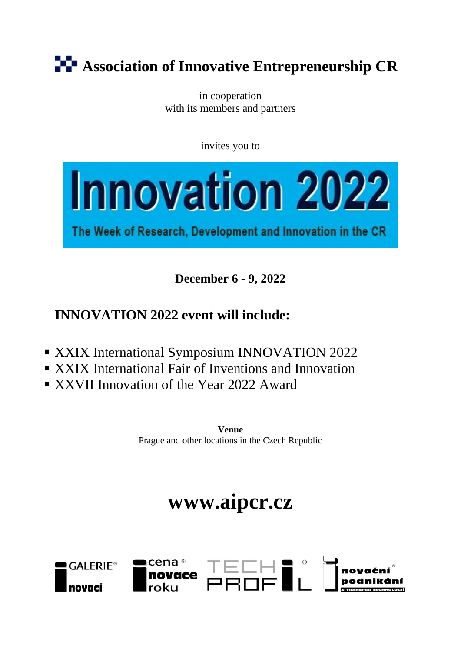# **Association of Innovative Entrepreneurship CR**

in cooperation with its members and partners

invites you to



The Week of Research, Development and Innovation in the CR

**December 6 - 9, 2022**

## **INNOVATION 2022 event will include:**

- **EXXIX International Symposium INNOVATION 2022**
- XXIX International Fair of Inventions and Innovation
- XXVII Innovation of the Year 2022 Award

**Venue** Prague and other locations in the Czech Republic

# **www.aipcr.cz**

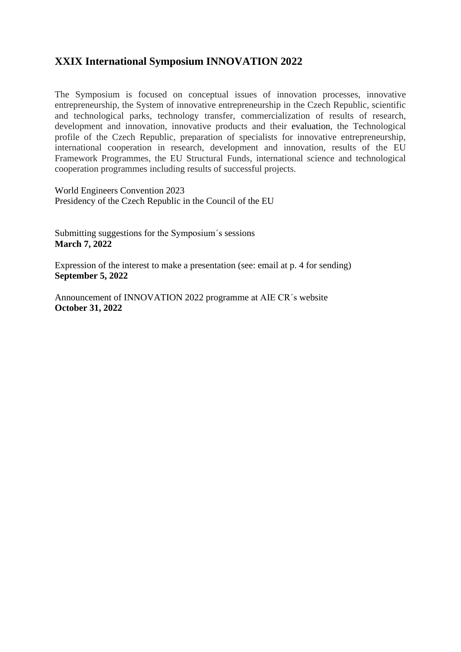### **XXIX International Symposium INNOVATION 2022**

The Symposium is focused on conceptual issues of innovation processes, innovative entrepreneurship, the System of innovative entrepreneurship in the Czech Republic, scientific and technological parks, technology transfer, commercialization of results of research, development and innovation, innovative products and their evaluation, the Technological profile of the Czech Republic, preparation of specialists for innovative entrepreneurship, international cooperation in research, development and innovation, results of the EU Framework Programmes, the EU Structural Funds, international science and technological cooperation programmes including results of successful projects.

World Engineers Convention 2023 Presidency of the Czech Republic in the Council of the EU

Submitting suggestions for the Symposium´s sessions **March 7, 2022**

Expression of the interest to make a presentation (see: email at p. 4 for sending) **September 5, 2022**

Announcement of INNOVATION 2022 programme at AIE CR´s website **October 31, 2022**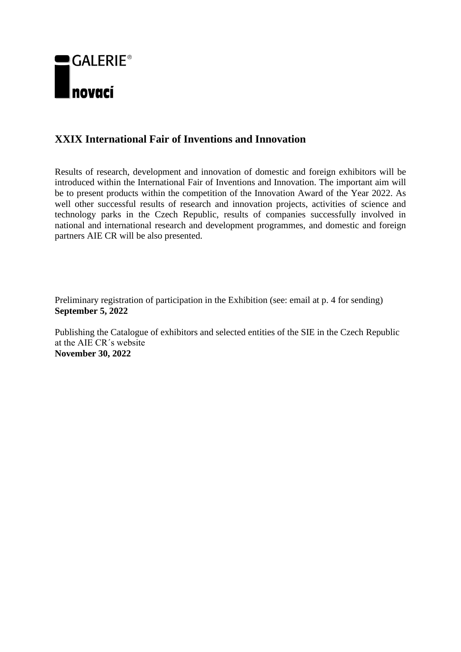

### **XXIX International Fair of Inventions and Innovation**

Results of research, development and innovation of domestic and foreign exhibitors will be introduced within the International Fair of Inventions and Innovation. The important aim will be to present products within the competition of the Innovation Award of the Year 2022. As well other successful results of research and innovation projects, activities of science and technology parks in the Czech Republic, results of companies successfully involved in national and international research and development programmes, and domestic and foreign partners AIE CR will be also presented.

Preliminary registration of participation in the Exhibition (see: email at p. 4 for sending) **September 5, 2022**

Publishing the Catalogue of exhibitors and selected entities of the SIE in the Czech Republic at the AIE CR´s website **November 30, 2022**